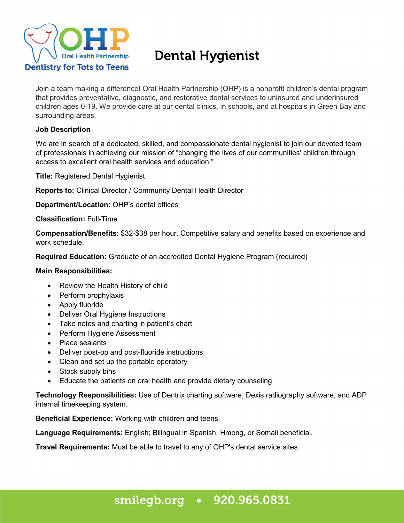

# Dental Hygienist

Join a team making a difference! Oral Health Partnership (OHP) is a nonprofit children's dental program that provides preventative, diagnostic, and restorative dental services to uninsured and underinsured children ages 0-19. We provide care at our dental clinics, in schools, and at hospitals in Green Bay and surrounding areas.

### **Job Description**

We are in search of a dedicated, skilled, and compassionate dental hygienist to join our devoted team of professionals in achieving our mission of "changing the lives of our communities' children through access to excellent oral health services and education."

**Title:** Registered Dental Hygienist

**Reports to:** Clinical Director / Community Dental Health Director

**Department/Location:** OHP's dental offices

**Classification:** Full-Time

**Compensation/Benefits**: \$32-\$38 per hour. Competitive salary and benefits based on experience and work schedule.

**Required Education:** Graduate of an accredited Dental Hygiene Program (required)

### **Main Responsibilities:**

- Review the Health History of child
- Perform prophylaxis
- Apply fluoride
- Deliver Oral Hygiene Instructions
- Take notes and charting in patient's chart
- Perform Hygiene Assessment
- Place sealants
- Deliver post-op and post-fluoride instructions
- Clean and set up the portable operatory
- Stock supply bins
- Educate the patients on oral health and provide dietary counseling

**Technology Responsibilities:** Use of Dentrix charting software, Dexis radiography software, and ADP internal timekeeping system.

**Beneficial Experience:** Working with children and teens.

**Language Requirements:** English; Bilingual in Spanish, Hmong, or Somali beneficial.

**Travel Requirements:** Must be able to travel to any of OHP's dental service sites.

## smilegb.org • 920.965.0831